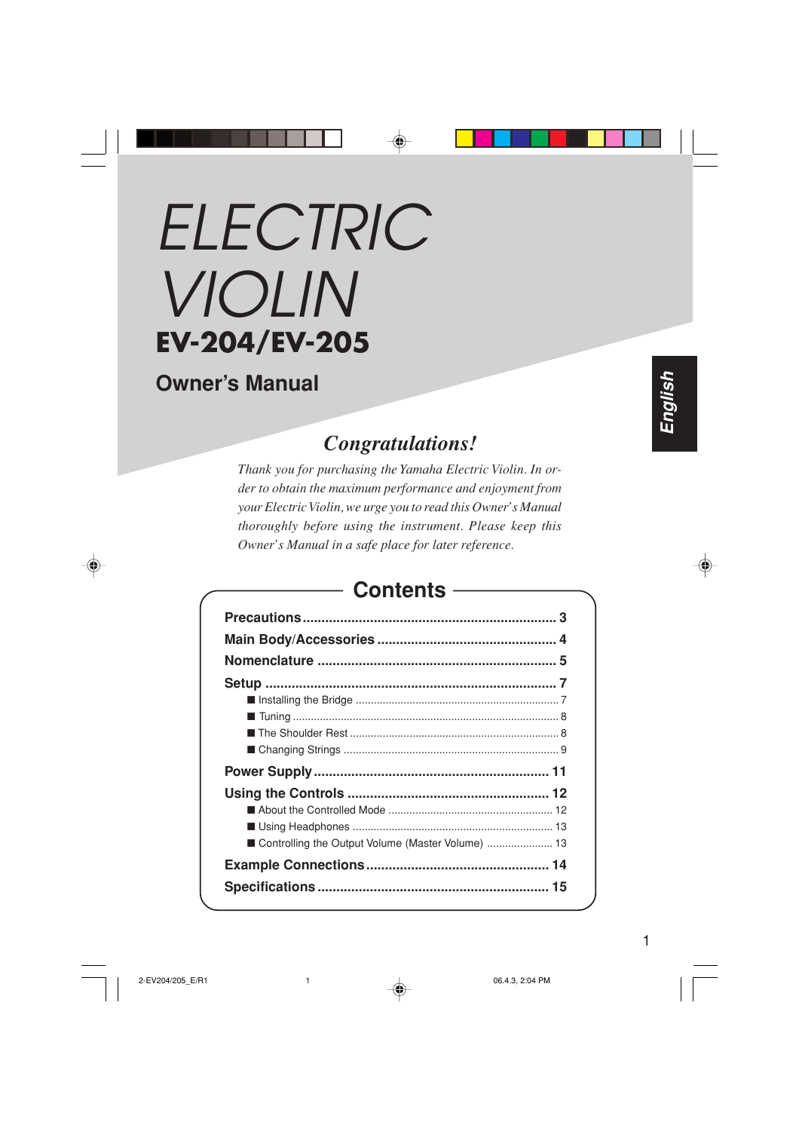#### 1

# **EV-204/EV-205 ELECTRIC** VIOLIN

# **Owner's Manual**

# *Congratulations!*

*Thank you for purchasing the Yamaha Electric Violin. In order to obtain the maximum performance and enjoyment from your Electric Violin, we urge you to read this Owner's Manual thoroughly before using the instrument. Please keep this Owner's Manual in a safe place for later reference.*

# **Contents**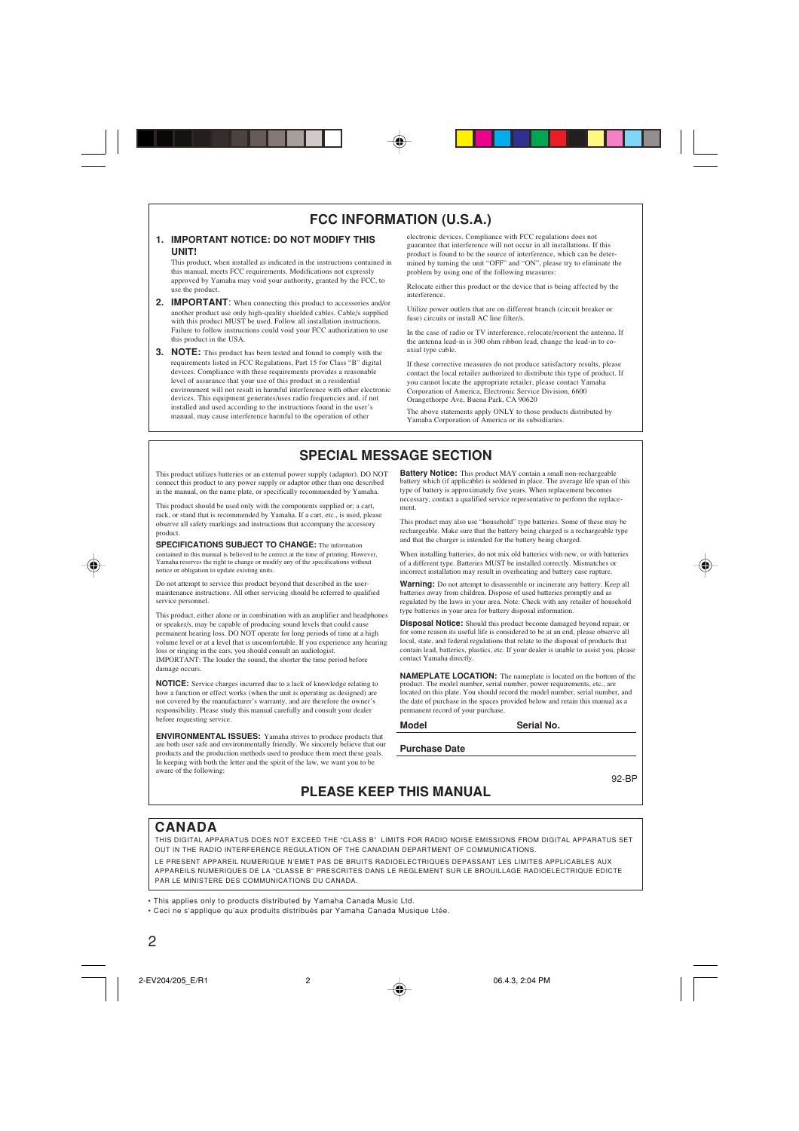### **FCC INFORMATION (U.S.A.)**

#### **1. IMPORTANT NOTICE: DO NOT MODIFY THIS UNIT!**

This product, when installed as indicated in the instructions contained in this manual, meets FCC requirements. Modifications not expressly approved by Yamaha may void your authority, granted by the FCC, to use the product.

**2. IMPORTANT**: When connecting this product to accessories and/or another product use only high-quality shielded cables. Cable/s supplied with this product MUST be used. Follow all installation instructions. Failure to follow instructions could void your FCC authorization to use this product in the USA.

**3. NOTE:** This product has been tested and found to comply with the requirements listed in FCC Regulations, Part 15 for Class "B" digital devices. Compliance with these requirements provides a reasonable level of assurance that your use of this product in a residential environment will not result in harmful interference with other electronic devices. This equipment generates/uses radio frequencies and, if not installed and used according to the instructions found in the user's manual, may cause interference harmful to the operation of other

electronic devices. Compliance with FCC regulations does not guarantee that interference will not occur in all installations. If this product is found to be the source of interference, which can be determined by turning the unit "OFF" and "ON", please try to eliminate the problem by using one of the following measures:

Relocate either this product or the device that is being affected by the interference.

Utilize power outlets that are on different branch (circuit breaker or fuse) circuits or install AC line filter/s.

In the case of radio or TV interference, relocate/reorient the antenna. If the antenna lead-in is 300 ohm ribbon lead, change the lead-in to coaxial type cable.

If these corrective measures do not produce satisfactory results, please contact the local retailer authorized to distribute this type of product. If you cannot locate the appropriate retailer, please contact Yamaha Corporation of America, Electronic Service Division, 6600 Orangethorpe Ave, Buena Park, CA 90620

The above statements apply ONLY to those products distributed by Yamaha Corporation of America or its subsidiaries.

### **SPECIAL MESSAGE SECTION**

This product utilizes batteries or an external power supply (adaptor). DO NOT connect this product to any power supply or adaptor other than one described in the manual, on the name plate, or specifically recommended by Yamaha.

This product should be used only with the components supplied or; a cart, rack, or stand that is recommended by Yamaha. If a cart, etc., is used, please observe all safety markings and instructions that accompany the accessory product.

**SPECIFICATIONS SUBJECT TO CHANGE:** The information contained in this manual is believed to be correct at the time of printing. However, Yamaha reserves the right to change or modify any of the specifications without notice or obligation to update existing units.

Do not attempt to service this product beyond that described in the usermaintenance instructions. All other servicing should be referred to qualified service personnel.

This product, either alone or in combination with an amplifier and headphones or speaker/s, may be capable of producing sound levels that could cause permanent hearing loss. DO NOT operate for long periods of time at a high volume level or at a level that is uncomfortable. If you experience any hearing loss or ringing in the ears, you should consult an audiologist. IMPORTANT: The louder the sound, the shorter the time period before damage occurs.

**NOTICE:** Service charges incurred due to a lack of knowledge relating to how a function or effect works (when the unit is operating as designed) are not covered by the manufacturer's warranty, and are therefore the owner's responsibility. Please study this manual carefully and consult your dealer before requesting service.

**ENVIRONMENTAL ISSUES:** Yamaha strives to produce products that are both user safe and environmentally friendly. We sincerely believe that our products and the production methods used to produce them meet these goals. In keeping with both the letter and the spirit of the law, we want you to be aware of the following:

**Battery Notice:** This product MAY contain a small non-rechargeable battery which (if applicable) is soldered in place. The average life span of this type of battery is approximately five years. When replacement becomes necessary, contact a qualified service representative to perform the replacement.

This product may also use "household" type batteries. Some of these may be rechargeable. Make sure that the battery being charged is a rechargeable type and that the charger is intended for the battery being charged.

When installing batteries, do not mix old batteries with new, or with batteries of a different type. Batteries MUST be installed correctly. Mismatches or incorrect installation may result in overheating and battery case rupture.

**Warning:** Do not attempt to disassemble or incinerate any battery. Keep all batteries away from children. Dispose of used batteries promptly and as regulated by the laws in your area. Note: Check with any retailer of household type batteries in your area for battery disposal information.

**Disposal Notice:** Should this product become damaged beyond repair, or for some reason its useful life is considered to be at an end, please observe all local, state, and federal regulations that relate to the disposal of products that contain lead, batteries, plastics, etc. If your dealer is unable to assist you, please contact Yamaha directly.

**NAMEPLATE LOCATION:** The nameplate is located on the bottom of the product. The model number, serial number, power requirements, etc., are located on this plate. You should record the model number, serial number, and the date of purchase in the spaces provided below and retain this manual as a permanent record of your purchase.

#### **Model Serial No.**

**Purchase Date**

92-BP

### **PLEASE KEEP THIS MANUAL**

#### **CANADA**

THIS DIGITAL APPARATUS DOES NOT EXCEED THE "CLASS B" LIMITS FOR RADIO NOISE EMISSIONS FROM DIGITAL APPARATUS SET OUT IN THE RADIO INTERFERENCE REGULATION OF THE CANADIAN DEPARTMENT OF COMMUNICATIONS.

LE PRESENT APPAREIL NUMERIQUE N'EMET PAS DE BRUITS RADIOELECTRIQUES DEPASSANT LES LIMITES APPLICABLES AUX APPAREILS NUMERIQUES DE LA "CLASSE B" PRESCRITES DANS LE REGLEMENT SUR LE BROUILLAGE RADIOELECTRIQUE EDICTE PAR LE MINISTERE DES COMMUNICATIONS DU CANADA.

<sup>•</sup> This applies only to products distributed by Yamaha Canada Music Ltd.

<sup>•</sup> Ceci ne s'applique qu'aux produits distribués par Yamaha Canada Musique Ltée.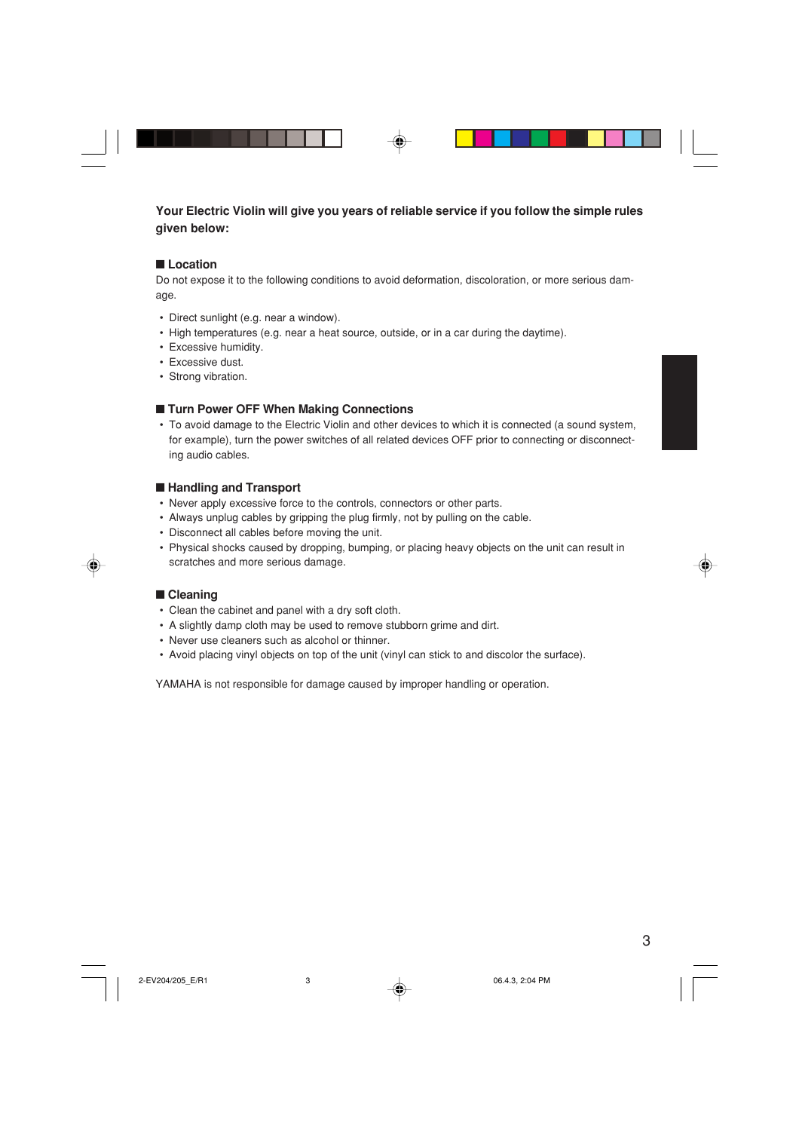#### **Your Electric Violin will give you years of reliable service if you follow the simple rules given below:**

#### ■ **Location**

Do not expose it to the following conditions to avoid deformation, discoloration, or more serious damage.

- Direct sunlight (e.g. near a window).
- High temperatures (e.g. near a heat source, outside, or in a car during the daytime).
- Excessive humidity.
- Excessive dust.
- Strong vibration.

#### ■ **Turn Power OFF When Making Connections**

• To avoid damage to the Electric Violin and other devices to which it is connected (a sound system, for example), turn the power switches of all related devices OFF prior to connecting or disconnecting audio cables.

#### ■ **Handling and Transport**

- Never apply excessive force to the controls, connectors or other parts.
- Always unplug cables by gripping the plug firmly, not by pulling on the cable.
- Disconnect all cables before moving the unit.
- Physical shocks caused by dropping, bumping, or placing heavy objects on the unit can result in scratches and more serious damage.

#### ■ **Cleaning**

- Clean the cabinet and panel with a dry soft cloth.
- A slightly damp cloth may be used to remove stubborn grime and dirt.
- Never use cleaners such as alcohol or thinner.
- Avoid placing vinyl objects on top of the unit (vinyl can stick to and discolor the surface).

YAMAHA is not responsible for damage caused by improper handling or operation.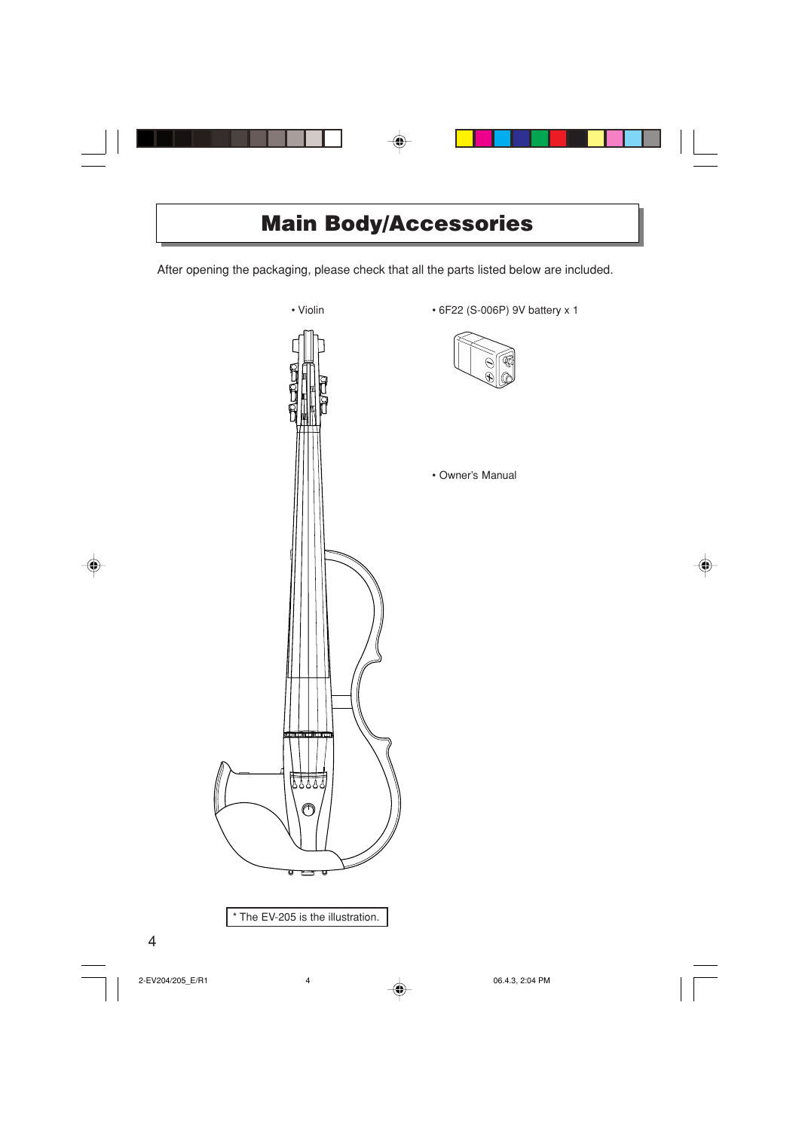# **Main Body/Accessories**

After opening the packaging, please check that all the parts listed below are included.



\* The EV-205 is the illustration.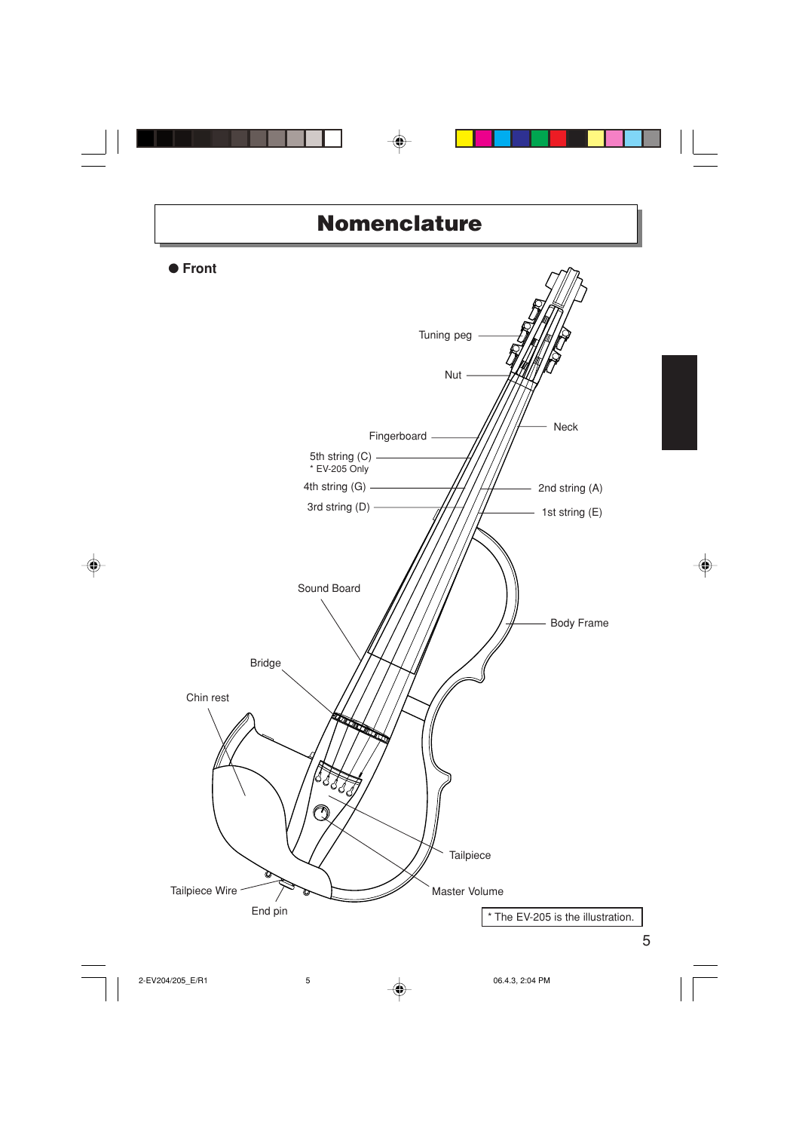# **Nomenclature**

● **Front**

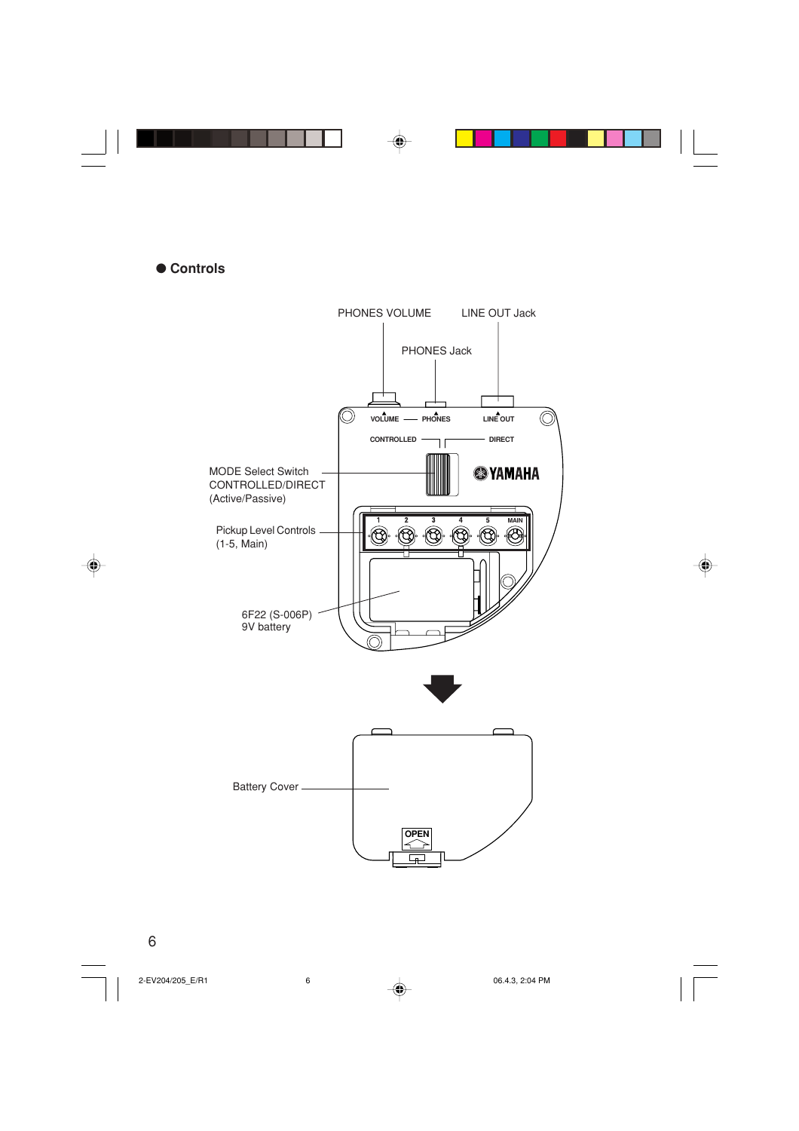#### ● **Controls**

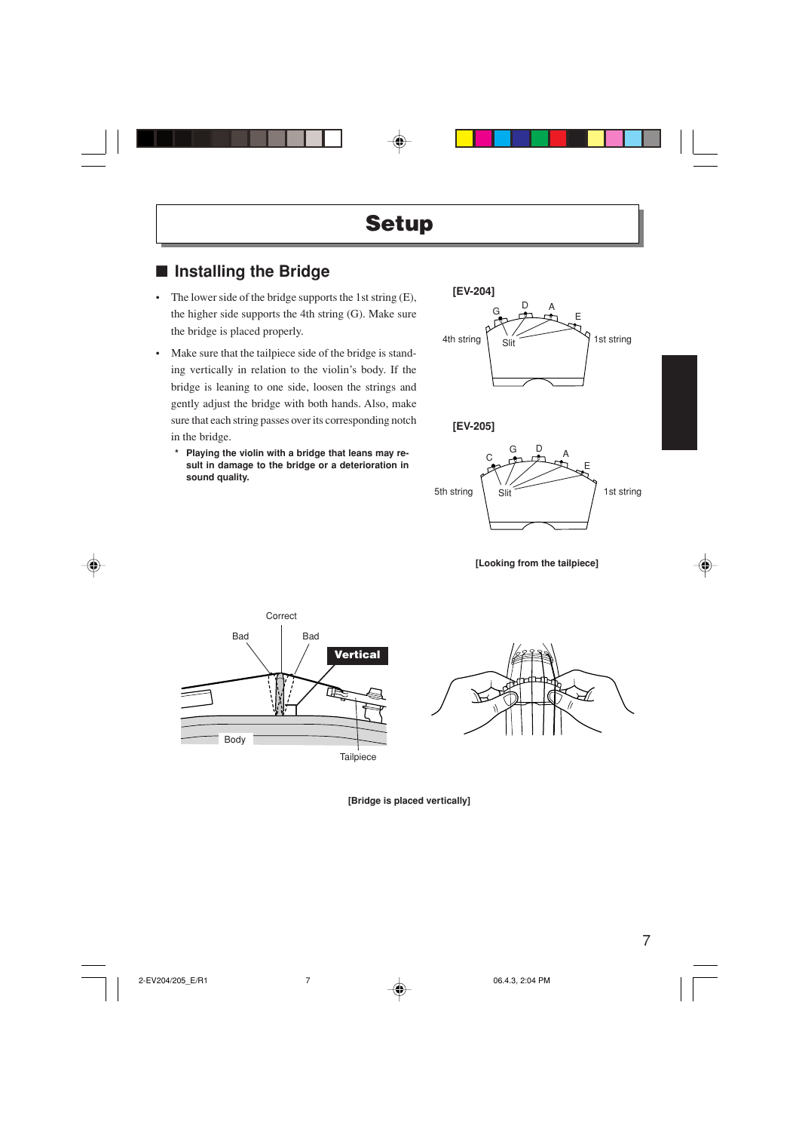# **Setup**

### ■ **Installing the Bridge**

- The lower side of the bridge supports the 1st string (E), the higher side supports the 4th string (G). Make sure the bridge is placed properly.
- Make sure that the tailpiece side of the bridge is standing vertically in relation to the violin's body. If the bridge is leaning to one side, loosen the strings and gently adjust the bridge with both hands. Also, make sure that each string passes over its corresponding notch in the bridge.
	- **\* Playing the violin with a bridge that leans may result in damage to the bridge or a deterioration in sound quality.**



**[Looking from the tailpiece]**





**[Bridge is placed vertically]**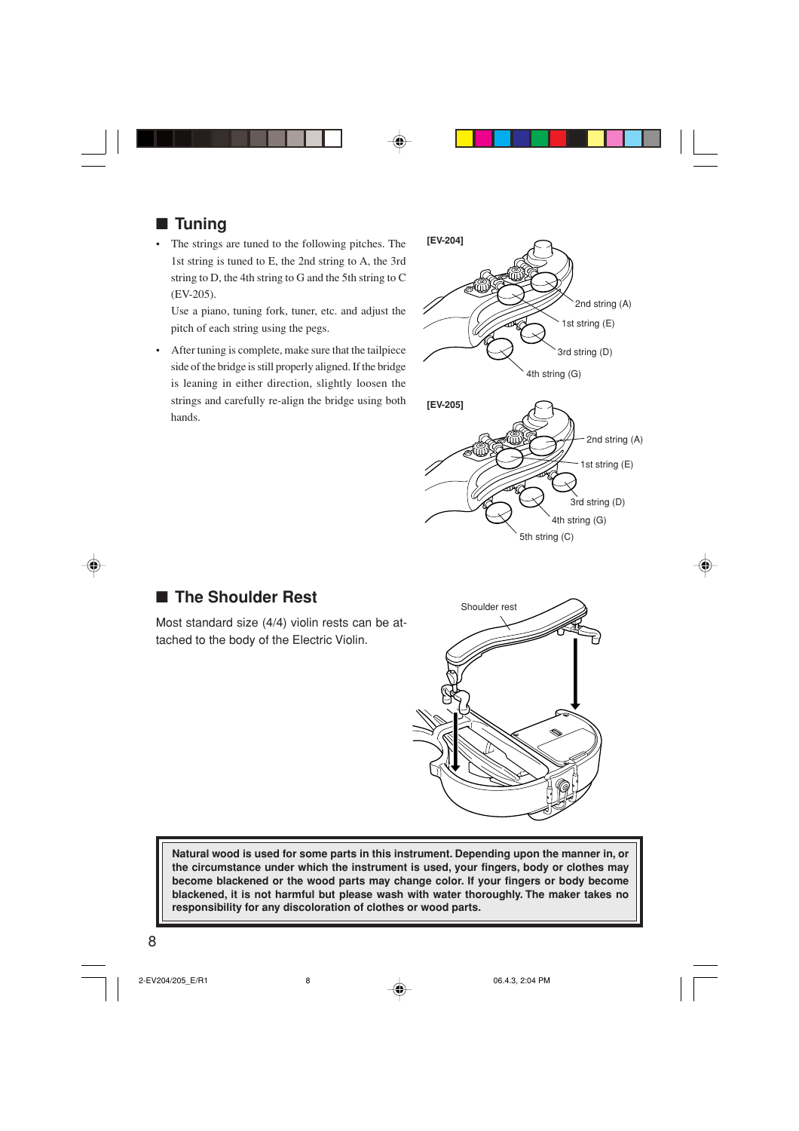### ■ **Tuning**

• The strings are tuned to the following pitches. The 1st string is tuned to E, the 2nd string to A, the 3rd string to D, the 4th string to G and the 5th string to C (EV-205).

Use a piano, tuning fork, tuner, etc. and adjust the pitch of each string using the pegs.

• After tuning is complete, make sure that the tailpiece side of the bridge is still properly aligned. If the bridge is leaning in either direction, slightly loosen the strings and carefully re-align the bridge using both hands.



### ■ **The Shoulder Rest**

Most standard size (4/4) violin rests can be attached to the body of the Electric Violin.



**Natural wood is used for some parts in this instrument. Depending upon the manner in, or the circumstance under which the instrument is used, your fingers, body or clothes may become blackened or the wood parts may change color. If your fingers or body become blackened, it is not harmful but please wash with water thoroughly. The maker takes no responsibility for any discoloration of clothes or wood parts.**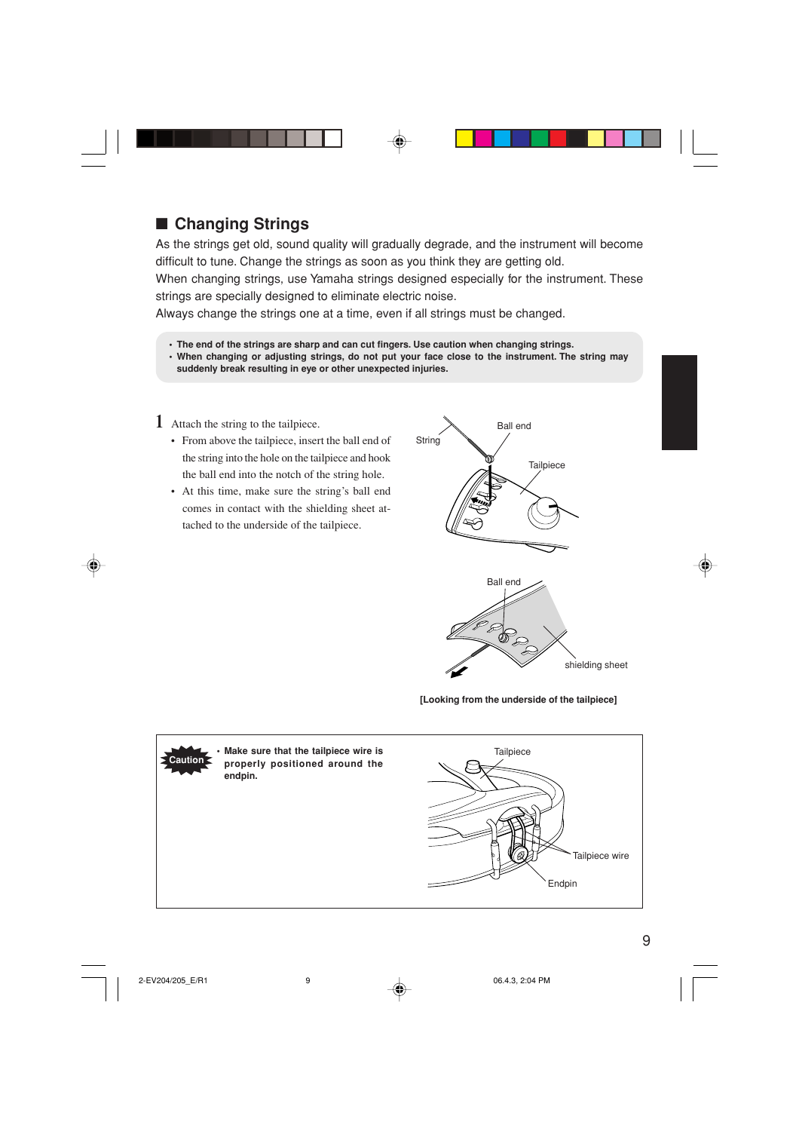## ■ **Changing Strings**

As the strings get old, sound quality will gradually degrade, and the instrument will become difficult to tune. Change the strings as soon as you think they are getting old.

When changing strings, use Yamaha strings designed especially for the instrument. These strings are specially designed to eliminate electric noise.

Always change the strings one at a time, even if all strings must be changed.

**• The end of the strings are sharp and can cut fingers. Use caution when changing strings.**

- **• When changing or adjusting strings, do not put your face close to the instrument. The string may suddenly break resulting in eye or other unexpected injuries.**
- **1** Attach the string to the tailpiece.
	- From above the tailpiece, insert the ball end of the string into the hole on the tailpiece and hook the ball end into the notch of the string hole.
	- At this time, make sure the string's ball end comes in contact with the shielding sheet attached to the underside of the tailpiece.



**[Looking from the underside of the tailpiece]**



**• Make sure that the tailpiece wire is properly positioned around the endpin.**

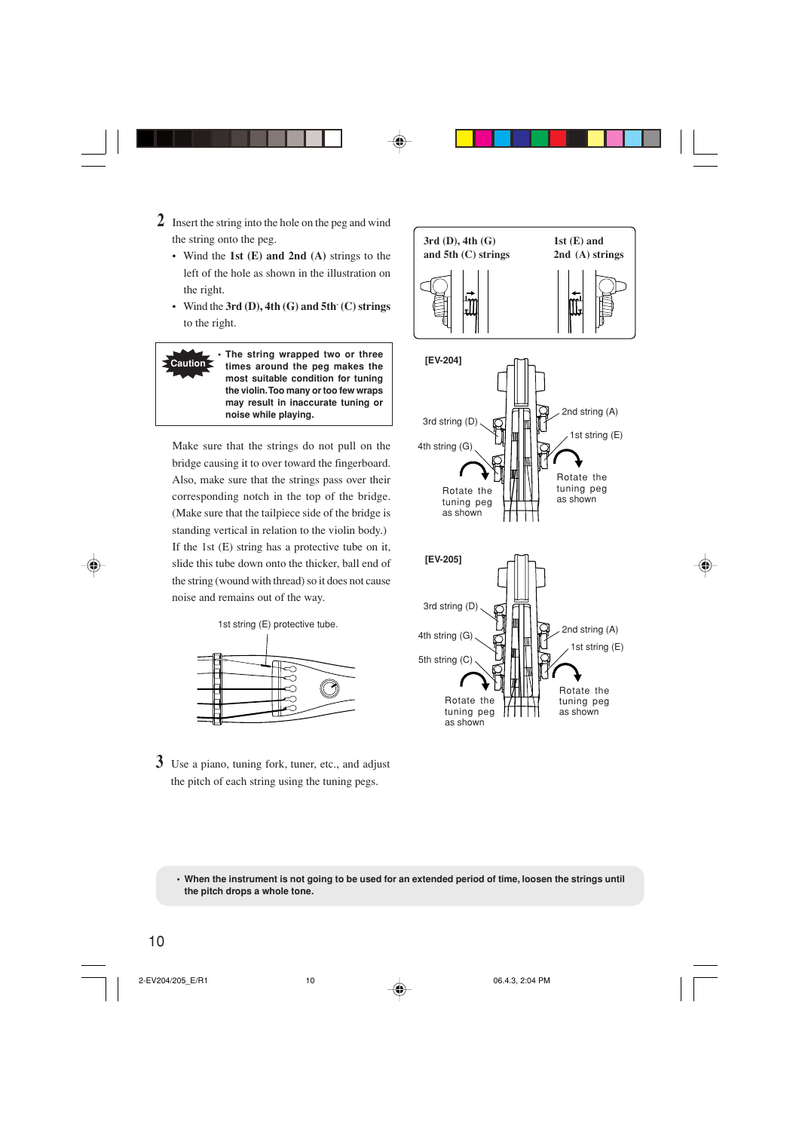- **2** Insert the string into the hole on the peg and wind the string onto the peg.
	- Wind the **1st (E) and 2nd (A)** strings to the left of the hole as shown in the illustration on the right.
	- Wind the  $3rd$  (D),  $4th$  (G) and  $5th$ <sup> $\cdot$ </sup> (C) strings to the right.



Make sure that the strings do not pull on the bridge causing it to over toward the fingerboard. Also, make sure that the strings pass over their corresponding notch in the top of the bridge. (Make sure that the tailpiece side of the bridge is standing vertical in relation to the violin body.) If the 1st (E) string has a protective tube on it, slide this tube down onto the thicker, ball end of the string (wound with thread) so it does not cause noise and remains out of the way.



**3** Use a piano, tuning fork, tuner, etc., and adjust the pitch of each string using the tuning pegs.



**• When the instrument is not going to be used for an extended period of time, loosen the strings until the pitch drops a whole tone.**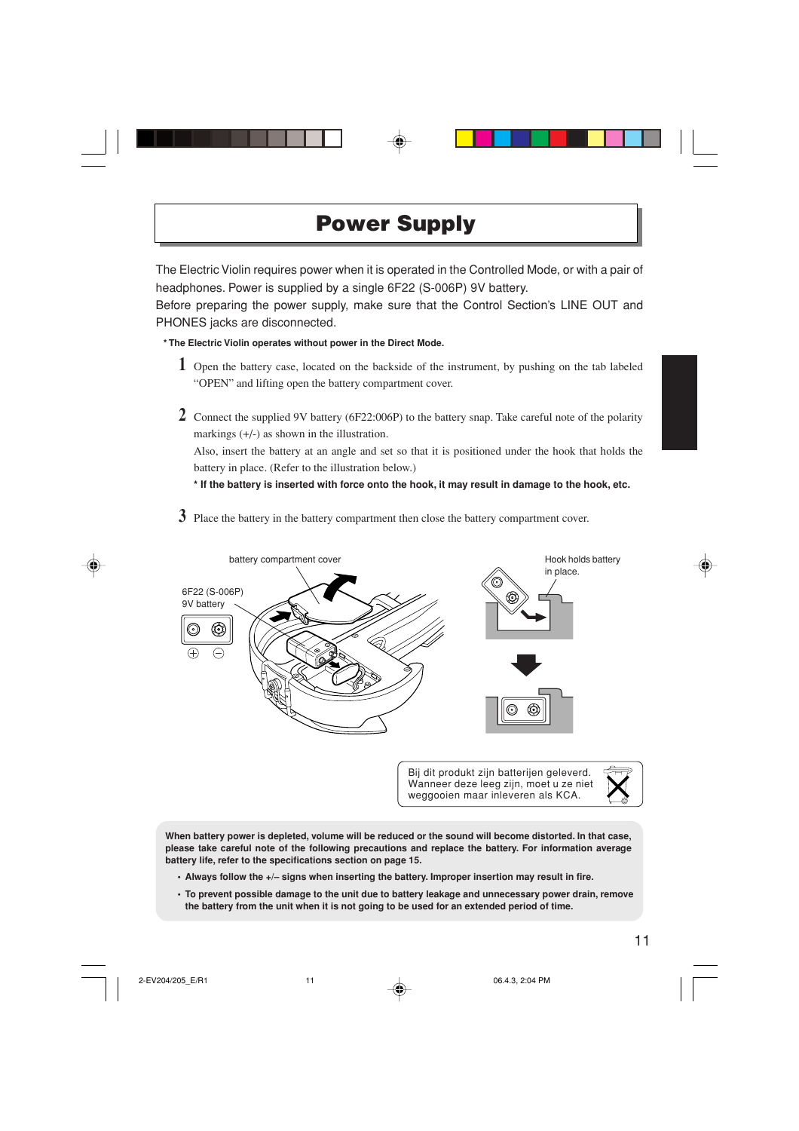# **Power Supply**

The Electric Violin requires power when it is operated in the Controlled Mode, or with a pair of headphones. Power is supplied by a single 6F22 (S-006P) 9V battery.

Before preparing the power supply, make sure that the Control Section's LINE OUT and PHONES jacks are disconnected.

**\* The Electric Violin operates without power in the Direct Mode.**

- **1** Open the battery case, located on the backside of the instrument, by pushing on the tab labeled "OPEN" and lifting open the battery compartment cover.
- **2** Connect the supplied 9V battery (6F22:006P) to the battery snap. Take careful note of the polarity markings (+/-) as shown in the illustration.

Also, insert the battery at an angle and set so that it is positioned under the hook that holds the battery in place. (Refer to the illustration below.)

**\* If the battery is inserted with force onto the hook, it may result in damage to the hook, etc.**

**3** Place the battery in the battery compartment then close the battery compartment cover.



Bij dit produkt zijn batterijen geleverd. Wanneer deze leeg zijn, moet u ze niet weggooien maar inleveren als KCA.



**When battery power is depleted, volume will be reduced or the sound will become distorted. In that case, please take careful note of the following precautions and replace the battery. For information average battery life, refer to the specifications section on page 15.**

- **Always follow the +/– signs when inserting the battery. Improper insertion may result in fire.**
- **To prevent possible damage to the unit due to battery leakage and unnecessary power drain, remove the battery from the unit when it is not going to be used for an extended period of time.**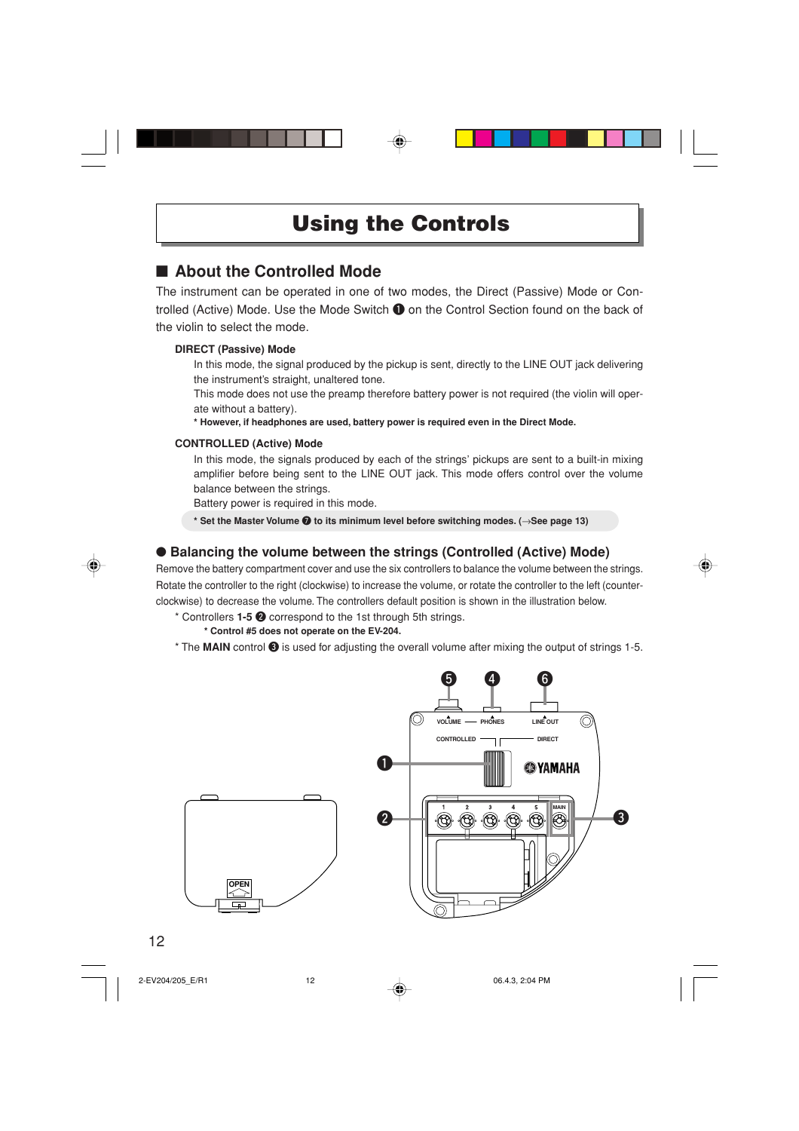# **Using the Controls**

### ■ **About the Controlled Mode**

The instrument can be operated in one of two modes, the Direct (Passive) Mode or Controlled (Active) Mode. Use the Mode Switch  $\bigcirc$  on the Control Section found on the back of the violin to select the mode.

#### **DIRECT (Passive) Mode**

In this mode, the signal produced by the pickup is sent, directly to the LINE OUT jack delivering the instrument's straight, unaltered tone.

This mode does not use the preamp therefore battery power is not required (the violin will operate without a battery).

**\* However, if headphones are used, battery power is required even in the Direct Mode.**

#### **CONTROLLED (Active) Mode**

In this mode, the signals produced by each of the strings' pickups are sent to a built-in mixing amplifier before being sent to the LINE OUT jack. This mode offers control over the volume balance between the strings.

Battery power is required in this mode.

**\*** Set the Master Volume  $\bullet$  to its minimum level before switching modes. (→See page 13)

### ● **Balancing the volume between the strings (Controlled (Active) Mode)**

Remove the battery compartment cover and use the six controllers to balance the volume between the strings. Rotate the controller to the right (clockwise) to increase the volume, or rotate the controller to the left (counterclockwise) to decrease the volume. The controllers default position is shown in the illustration below.

- \* Controllers **1-5 @** correspond to the 1st through 5th strings.
	- **\* Control #5 does not operate on the EV-204.**

\* The **MAIN** control **O** is used for adiusting the overall volume after mixing the output of strings 1-5.

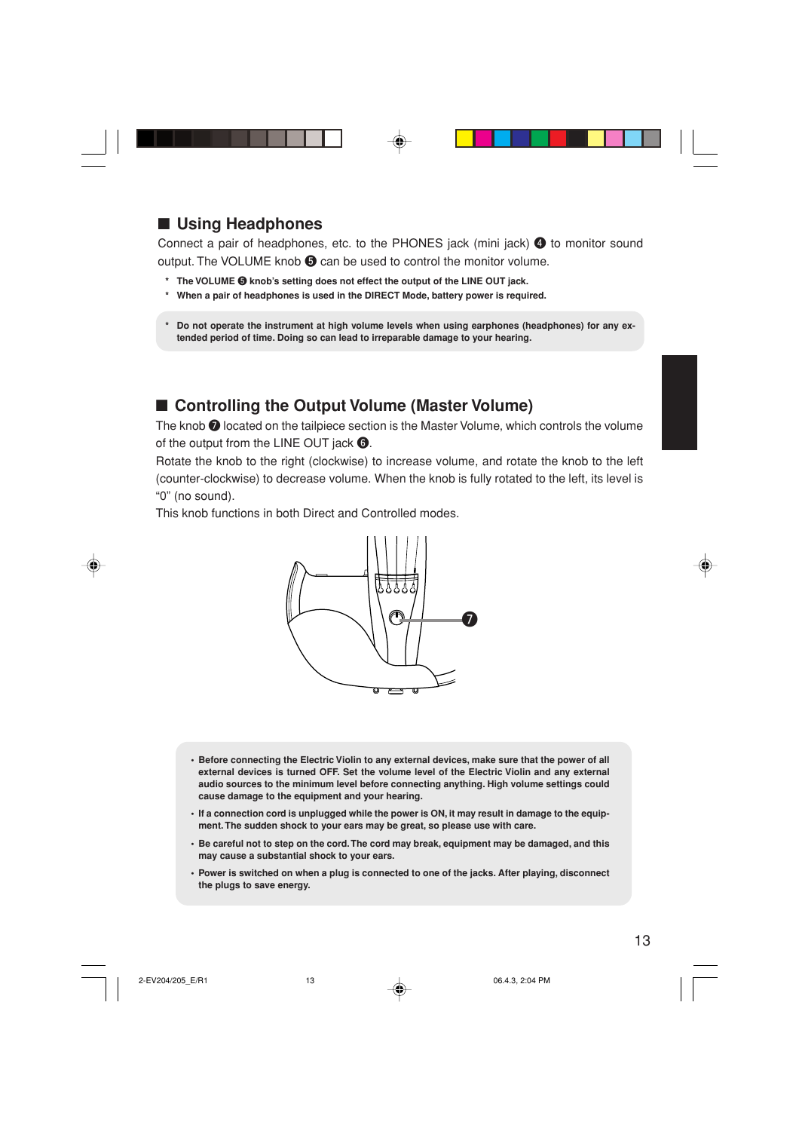## ■ Using Headphones

Connect a pair of headphones, etc. to the PHONES jack (mini jack)  $\bullet$  to monitor sound output. The VOLUME knob  $\bigcirc$  can be used to control the monitor volume.

- \* The VOLUME  $\odot$  knob's setting does not effect the output of the LINE OUT jack.
- **\* When a pair of headphones is used in the DIRECT Mode, battery power is required.**
- **\* Do not operate the instrument at high volume levels when using earphones (headphones) for any extended period of time. Doing so can lead to irreparable damage to your hearing.**

### ■ **Controlling the Output Volume (Master Volume)**

The knob  $\bigcirc$  located on the tailpiece section is the Master Volume, which controls the volume of the output from the LINE OUT jack  $\mathbf \odot$ .

Rotate the knob to the right (clockwise) to increase volume, and rotate the knob to the left (counter-clockwise) to decrease volume. When the knob is fully rotated to the left, its level is "0" (no sound).

This knob functions in both Direct and Controlled modes.



- **• Before connecting the Electric Violin to any external devices, make sure that the power of all external devices is turned OFF. Set the volume level of the Electric Violin and any external audio sources to the minimum level before connecting anything. High volume settings could cause damage to the equipment and your hearing.**
- **• If a connection cord is unplugged while the power is ON, it may result in damage to the equipment. The sudden shock to your ears may be great, so please use with care.**
- **• Be careful not to step on the cord. The cord may break, equipment may be damaged, and this may cause a substantial shock to your ears.**
- **Power is switched on when a plug is connected to one of the jacks. After playing, disconnect the plugs to save energy.**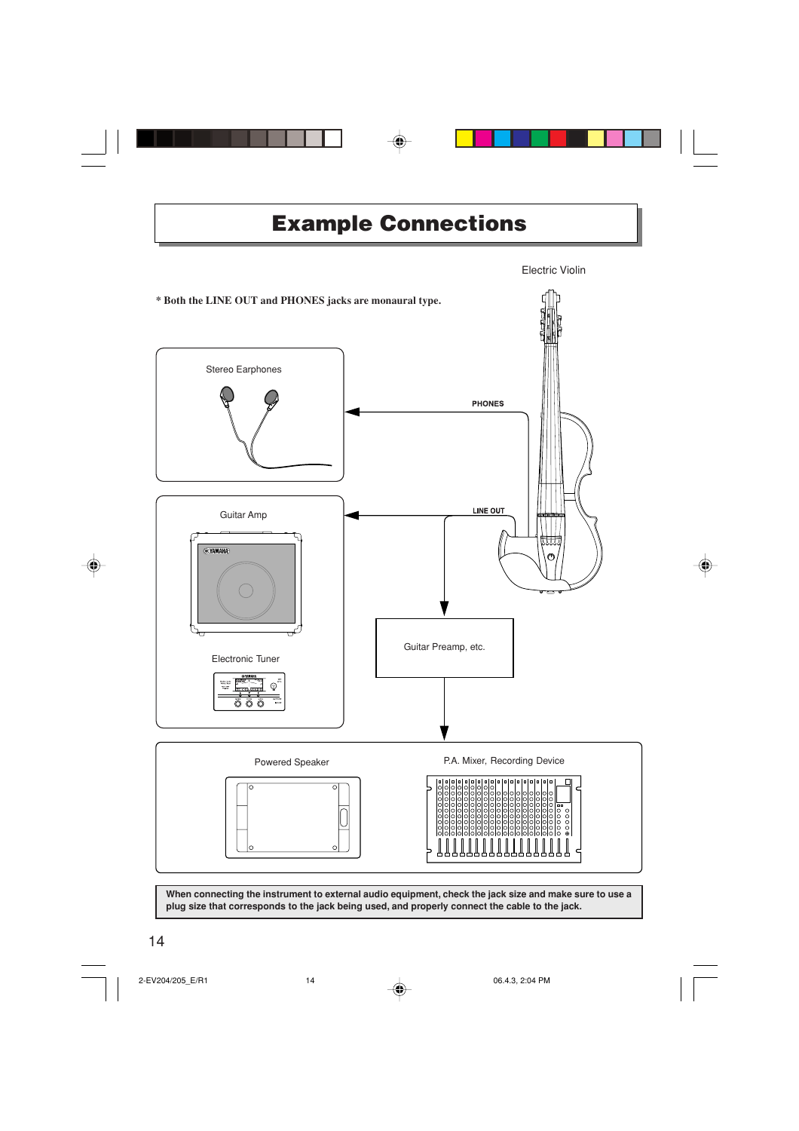# **Example Connections**



**When connecting the instrument to external audio equipment, check the jack size and make sure to use a plug size that corresponds to the jack being used, and properly connect the cable to the jack.**